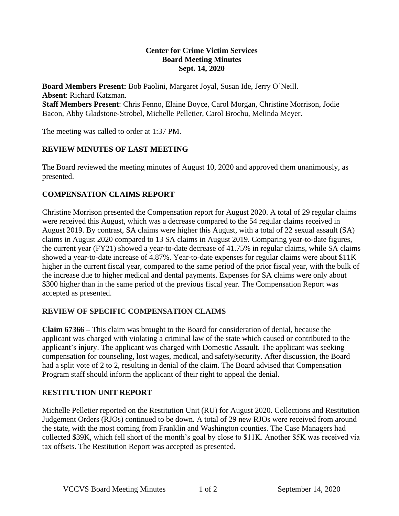#### **Center for Crime Victim Services Board Meeting Minutes Sept. 14, 2020**

**Board Members Present:** Bob Paolini, Margaret Joyal, Susan Ide, Jerry O'Neill. **Absent**: Richard Katzman. **Staff Members Present**: Chris Fenno, Elaine Boyce, Carol Morgan, Christine Morrison, Jodie Bacon, Abby Gladstone-Strobel, Michelle Pelletier, Carol Brochu, Melinda Meyer.

The meeting was called to order at 1:37 PM.

## **REVIEW MINUTES OF LAST MEETING**

The Board reviewed the meeting minutes of August 10, 2020 and approved them unanimously, as presented.

### **COMPENSATION CLAIMS REPORT**

Christine Morrison presented the Compensation report for August 2020. A total of 29 regular claims were received this August, which was a decrease compared to the 54 regular claims received in August 2019. By contrast, SA claims were higher this August, with a total of 22 sexual assault (SA) claims in August 2020 compared to 13 SA claims in August 2019. Comparing year-to-date figures, the current year (FY21) showed a year-to-date decrease of 41.75% in regular claims, while SA claims showed a year-to-date increase of 4.87%. Year-to-date expenses for regular claims were about \$11K higher in the current fiscal year, compared to the same period of the prior fiscal year, with the bulk of the increase due to higher medical and dental payments. Expenses for SA claims were only about \$300 higher than in the same period of the previous fiscal year. The Compensation Report was accepted as presented.

### **REVIEW OF SPECIFIC COMPENSATION CLAIMS**

**Claim 67366 –** This claim was brought to the Board for consideration of denial, because the applicant was charged with violating a criminal law of the state which caused or contributed to the applicant's injury. The applicant was charged with Domestic Assault. The applicant was seeking compensation for counseling, lost wages, medical, and safety/security. After discussion, the Board had a split vote of 2 to 2, resulting in denial of the claim. The Board advised that Compensation Program staff should inform the applicant of their right to appeal the denial.

### R**ESTITUTION UNIT REPORT**

Michelle Pelletier reported on the Restitution Unit (RU) for August 2020. Collections and Restitution Judgement Orders (RJOs) continued to be down. A total of 29 new RJOs were received from around the state, with the most coming from Franklin and Washington counties. The Case Managers had collected \$39K, which fell short of the month's goal by close to \$11K. Another \$5K was received via tax offsets. The Restitution Report was accepted as presented.